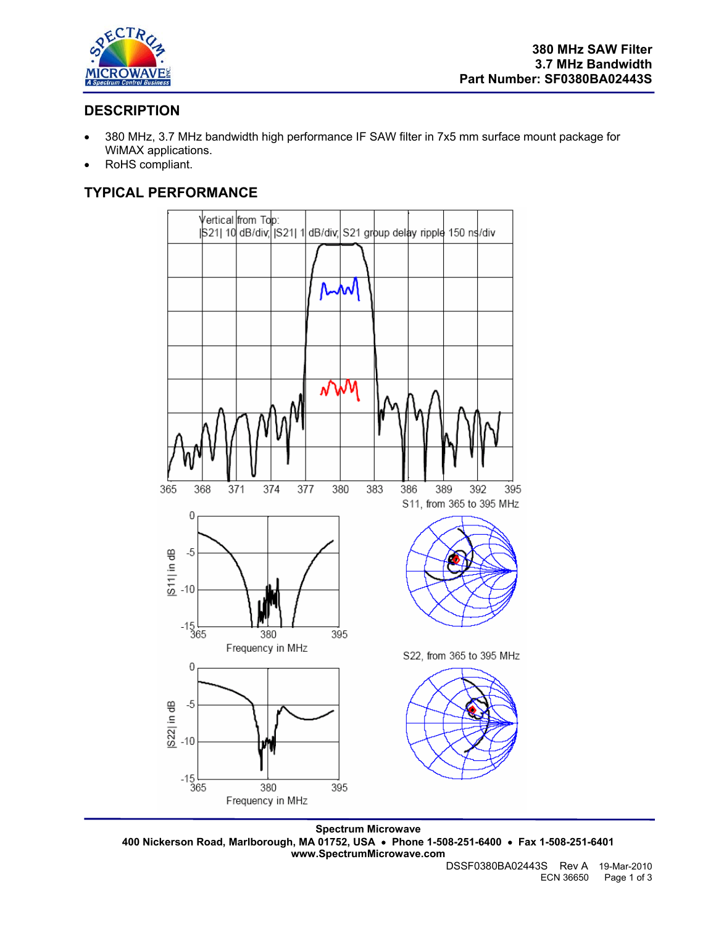

## **DESCRIPTION**

- 380 MHz, 3.7 MHz bandwidth high performance IF SAW filter in 7x5 mm surface mount package for WiMAX applications.
- RoHS compliant.

# **TYPICAL PERFORMANCE**



**Spectrum Microwave 400 Nickerson Road, Marlborough, MA 01752, USA** • **Phone 1-508-251-6400** • **Fax 1-508-251-6401 www.SpectrumMicrowave.com**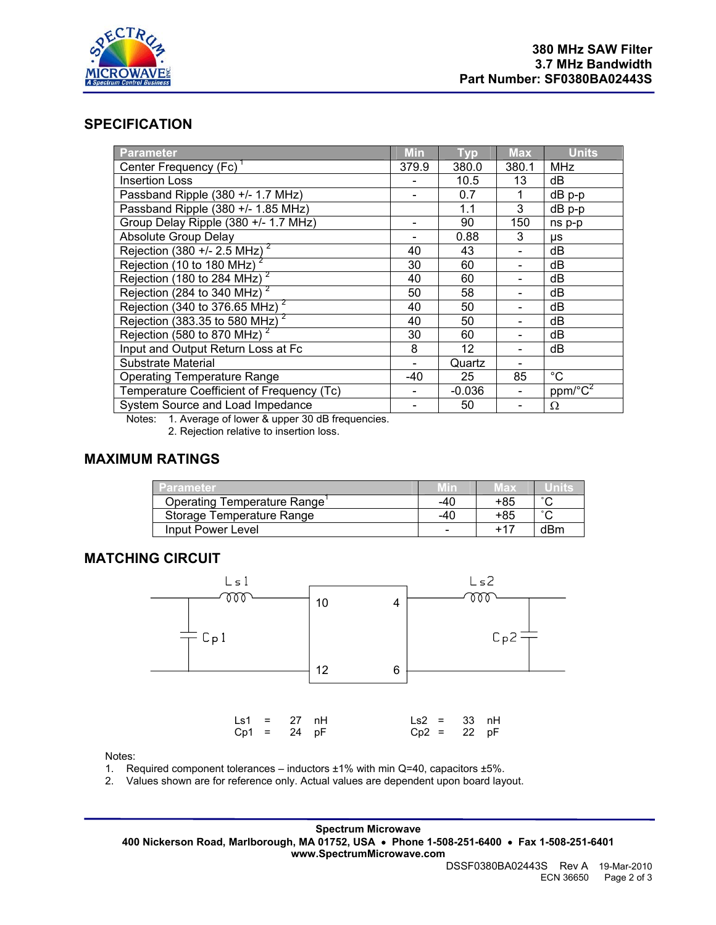

### **SPECIFICATION**

| <b>Parameter</b>                           | <b>Min</b> | <b>Typ</b> | <b>Max</b> | <b>Units</b>             |
|--------------------------------------------|------------|------------|------------|--------------------------|
| Center Frequency (Fc)                      | 379.9      | 380.0      | 380.1      | <b>MHz</b>               |
| <b>Insertion Loss</b>                      |            | 10.5       | 13         | dB                       |
| Passband Ripple (380 +/- 1.7 MHz)          |            | 0.7        |            | dB p-p                   |
| Passband Ripple (380 +/- 1.85 MHz)         |            | 1.1        | 3          | dB p-p                   |
| Group Delay Ripple (380 +/- 1.7 MHz)       |            | 90         | 150        | ns p-p                   |
| Absolute Group Delay                       |            | 0.88       | 3          | μs                       |
| Rejection (380 +/- 2.5 MHz) <sup>2</sup>   | 40         | 43         |            | dB                       |
| Rejection (10 to 180 MHz) <sup>2</sup>     | 30         | 60         |            | dB                       |
| Rejection (180 to 284 MHz) $^2$            | 40         | 60         |            | dB                       |
| Rejection (284 to 340 MHz) $^2$            | 50         | 58         |            | dB                       |
| Rejection (340 to 376.65 MHz) $^2$         | 40         | 50         |            | dB                       |
| Rejection (383.35 to 580 MHz) <sup>2</sup> | 40         | 50         |            | dB                       |
| Rejection (580 to 870 MHz) <sup>2</sup>    | 30         | 60         |            | dB                       |
| Input and Output Return Loss at Fc         | 8          | 12         |            | dB                       |
| Substrate Material                         |            | Quartz     |            |                          |
| <b>Operating Temperature Range</b>         | -40        | 25         | 85         | $^{\circ}C$              |
| Temperature Coefficient of Frequency (Tc)  |            | $-0.036$   |            | $ppm$ <sup>o</sup> $C^2$ |
| System Source and Load Impedance           |            | 50         |            | Ω                        |

Notes: 1. Average of lower & upper 30 dB frequencies.

2. Rejection relative to insertion loss.

#### **MAXIMUM RATINGS**

| Parameter                   |                          | Max | unne   |
|-----------------------------|--------------------------|-----|--------|
| Operating Temperature Range | -40                      | +85 | $\sim$ |
| Storage Temperature Range   | -40                      | +85 | $\sim$ |
| Input Power Level           | $\overline{\phantom{0}}$ |     | dBm    |

#### **MATCHING CIRCUIT**



Notes:

1. Required component tolerances – inductors ±1% with min Q=40, capacitors ±5%.

2. Values shown are for reference only. Actual values are dependent upon board layout.

**Spectrum Microwave 400 Nickerson Road, Marlborough, MA 01752, USA** • **Phone 1-508-251-6400** • **Fax 1-508-251-6401 www.SpectrumMicrowave.com**